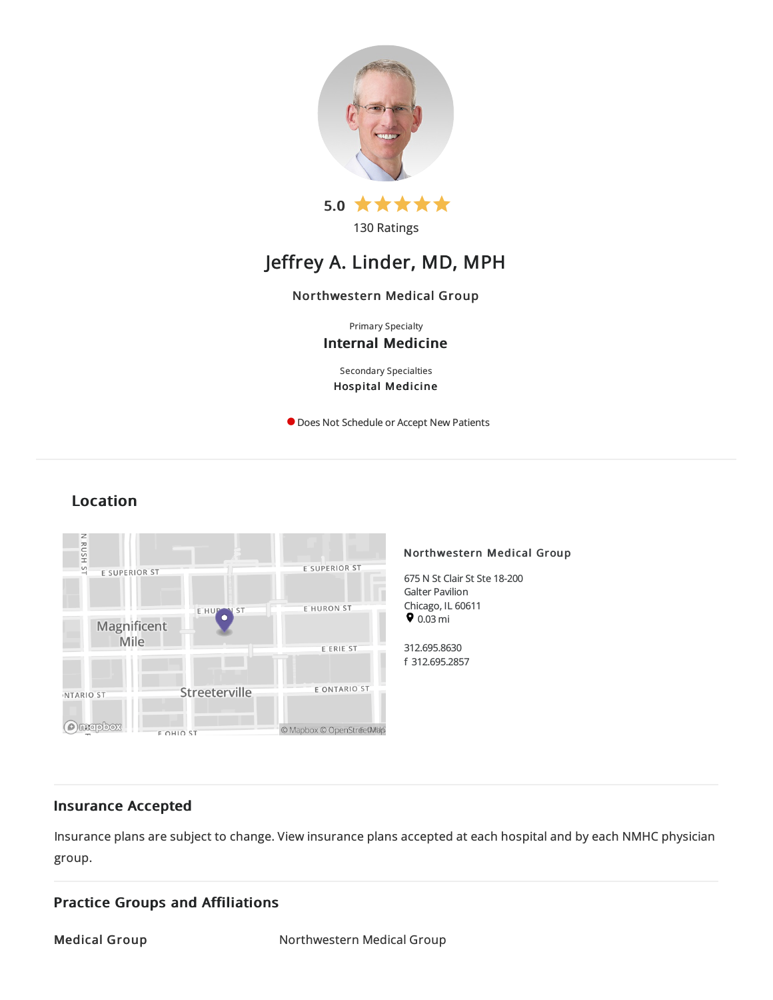

130 Ratings

# Jeffrey A. Linder, MD, MPH

# Northwestern Medical Group

Primary Specialty Internal Medicine

Secondary Specialties Hospital Medicine

**O** Does Not Schedule or Accept New Patients

# Location



# Insurance Accepted

Insurance plans are subject to change. View [insurance](https://www.nm.org/patients-and-visitors/billing-and-insurance/insurance-information/accepted-insurance-plans) plans accepted at each hospital and by each NMHC physician group.

# Practice Groups and Affiliations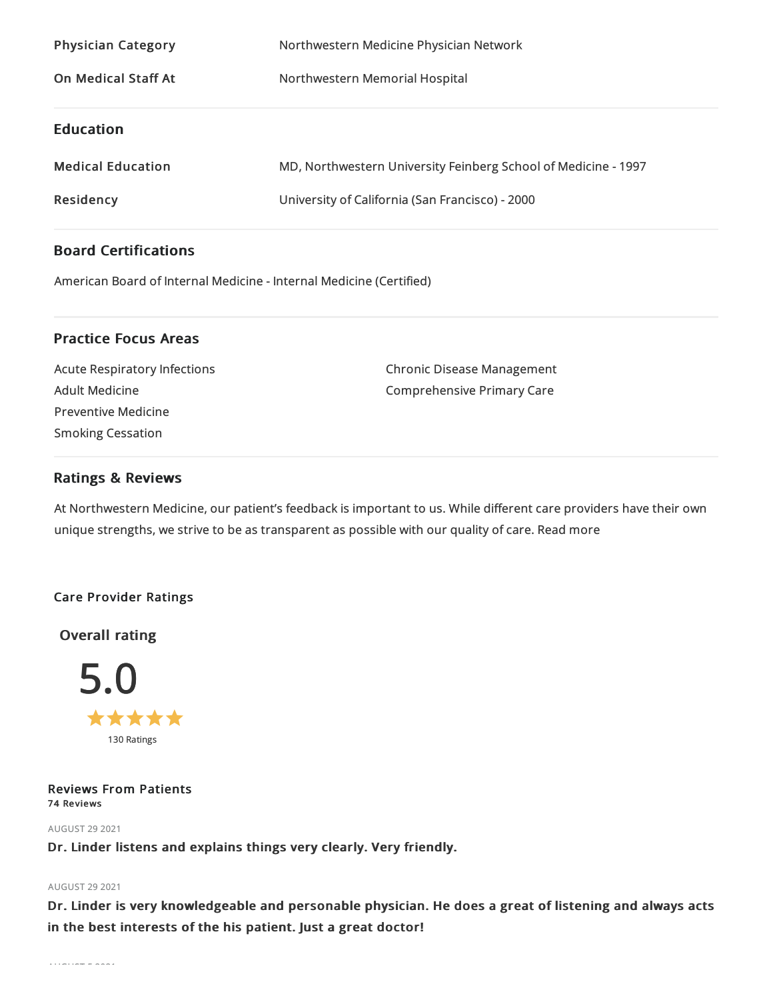| <b>Physician Category</b>  | Northwestern Medicine Physician Network                        |
|----------------------------|----------------------------------------------------------------|
| <b>On Medical Staff At</b> | Northwestern Memorial Hospital                                 |
| <b>Education</b>           |                                                                |
| <b>Medical Education</b>   | MD, Northwestern University Feinberg School of Medicine - 1997 |
| Residency                  | University of California (San Francisco) - 2000                |

# Board Certifications

American Board of Internal Medicine- Internal Medicine(Certified)

# Practice Focus Areas

Acute Respiratory Infections Adult Medicine Preventive Medicine Smoking Cessation

Chronic Disease Management Comprehensive Primary Care

# Ratings & Reviews

At Northwestern Medicine, our patient's feedback is important to us. While different care providers have their own unique strengths, we strive to be as transparent as possible with our quality of care. Read more

# Care Provider Ratings

Overall rating



Reviews From Patients 74 Reviews

**AUGUST 29 2021** 

Dr. Linder listens and explains things very clearly. Very friendly.

# AUGUST 29 2021

Dr. Linder is very knowledgeable and personable physician. He does a great of listening and always acts in the best interests of the his patient. Just a great doctor!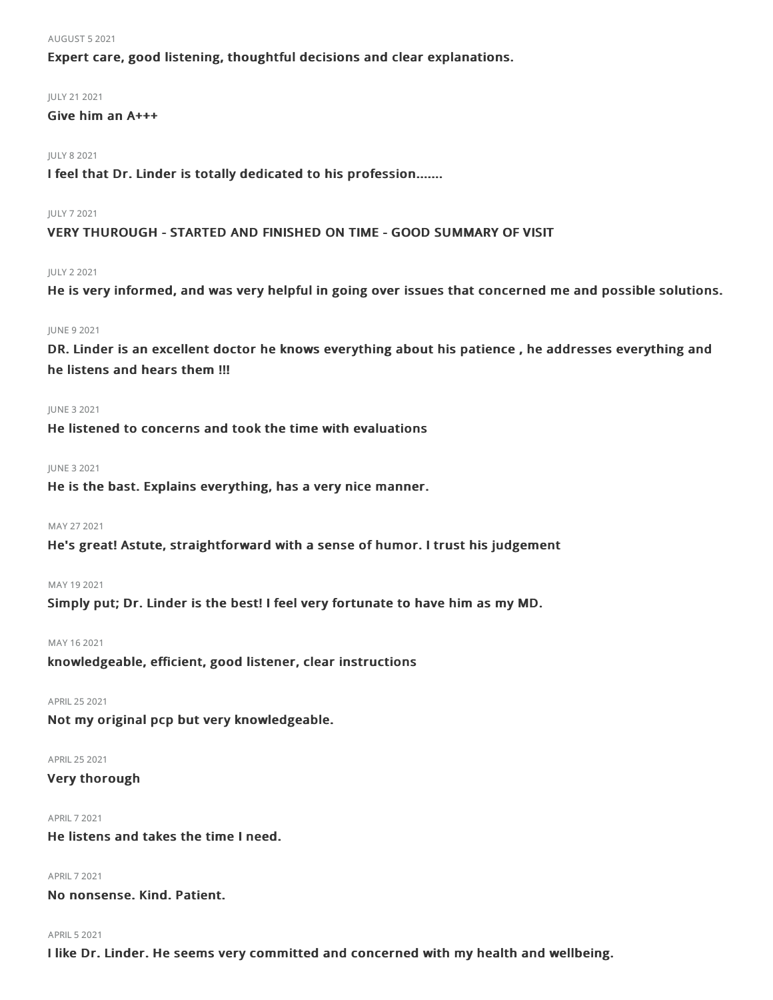#### AUGUST 52021

Expert care, good listening, thoughtful decisions and clear explanations.

# JULY 212021

# Give him an A+++

#### JULY 82021

I feel that Dr. Linder is totally dedicated to his profession.......

#### JULY 72021

VERY THUROUGH - STARTED AND FINISHED ON TIME - GOOD SUMMARY OF VISIT

#### JULY 22021

He is very informed, and was very helpful in going over issues that concerned me and possible solutions.

### JUNE 92021

DR. Linder is an excellent doctor he knows everything about his patience , he addresses everything and he listens and hears them !!!

#### JUNE 32021

He listened to concerns and took the time with evaluations

#### JUNE 32021

He is the bast. Explains everything, has a very nice manner.

#### MAY 27 2021

He's great! Astute, straightforward with a sense of humor. I trust his judgement

### MAY 192021

Simply put; Dr. Linder is the best! I feel very fortunate to have him as my MD.

#### MAY 162021

knowledgeable, efficient, good listener, clear instructions

### APRIL252021

Not my original pcp but very knowledgeable.

#### APRIL252021

Very thorough

#### APRIL72021

He listens and takes the time I need.

#### APRIL72021

No nonsense. Kind. Patient.

### **APRIL 5 2021**

I like Dr. Linder. He seems very committed and concerned with my health and wellbeing.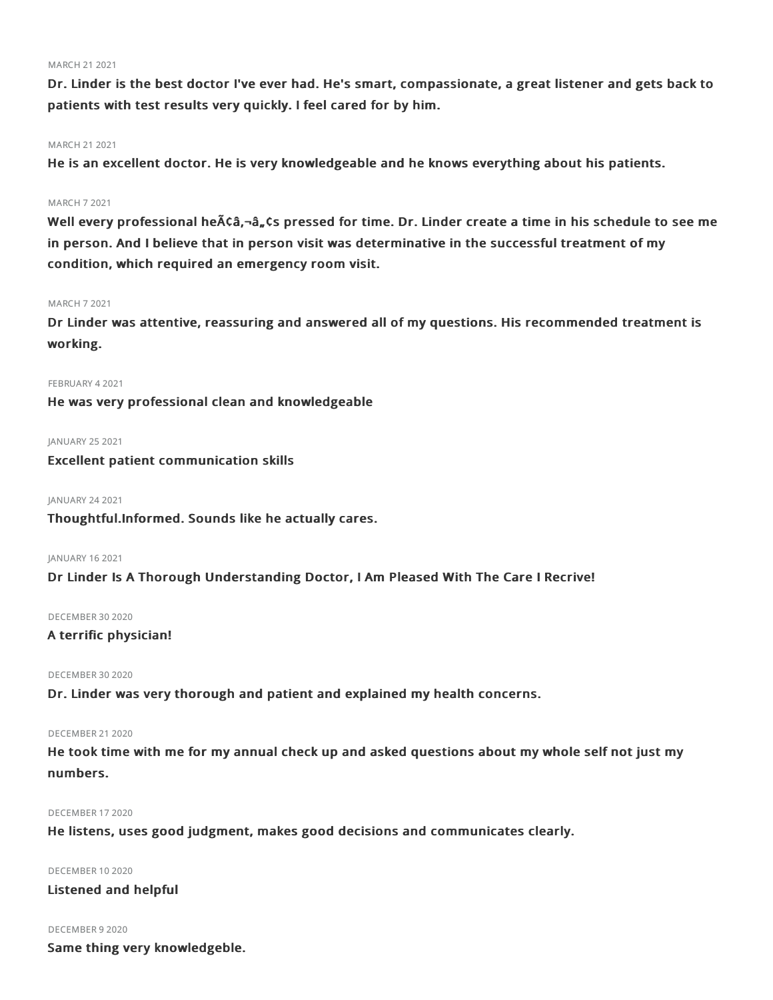### MARCH 21 2021

Dr. Linder is the best doctor I've ever had. He's smart, compassionate, a great listener and gets back to patients with test results very quickly. I feel cared for by him.

# MARCH 21 2021

He is an excellent doctor. He is very knowledgeable and he knows everything about his patients.

#### MARCH 72021

Well every professional he $\tilde{A}$ câ, $-\tilde{a}$ ,, $\zeta$ s pressed for time. Dr. Linder create a time in his schedule to see me in person. And I believe that in person visit was determinative in the successful treatment of my condition, which required an emergency room visit.

#### MARCH 72021

Dr Linder was attentive, reassuring and answered all of my questions. His recommended treatment is working.

#### FEBRUARY 42021

He was very professional clean and knowledgeable

JANUARY 252021

Excellent patient communication skills

JANUARY 24 2021

Thoughtful.Informed. Sounds like he actually cares.

JANUARY 162021

Dr Linder Is A Thorough Understanding Doctor, I Am Pleased With The Care I Recrive!

#### DECEMBER 30 2020

# A terrific physician!

DECEMBER 30 2020

Dr. Linder was very thorough and patient and explained my health concerns.

#### DECEMBER 21 2020

He took time with me for my annual check up and asked questions about my whole self not just my numbers.

#### DECEMBER 172020

He listens, uses good judgment, makes good decisions and communicates clearly.

DECEMBER 102020 Listened and helpful

DECEMBER 92020

Same thing very knowledgeble.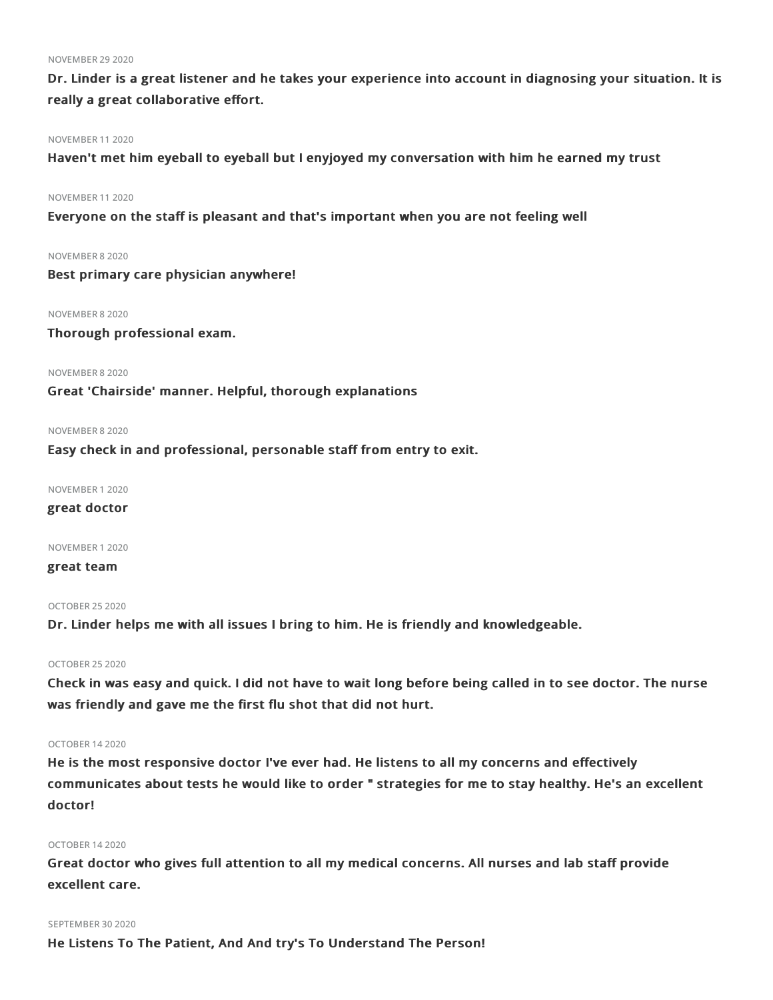#### **NOVEMBER 29 2020**

Dr. Linder is a great listener and he takes your experience into account in diagnosing your situation. It is really a great collaborative effort.

#### NOVEMBER 112020

Haven't met him eyeball to eyeball but I enyjoyed my conversation with him he earned my trust

#### NOVEMBER 112020

Everyone on the staff is pleasant and that's important when you are not feeling well

#### NOVEMBER 82020

Best primary care physician anywhere!

### NOVEMBER 82020

Thorough professional exam.

#### NOVEMBER 82020

Great 'Chairside' manner. Helpful, thorough explanations

### NOVEMBER 82020

Easy check in and professional, personable staff from entry to exit.

NOVEMBER 12020

# great doctor

NOVEMBER 12020

# great team

#### OCTOBER 252020

Dr. Linder helps me with all issues I bring to him. He is friendly and knowledgeable.

#### OCTOBER 252020

Check in was easy and quick. I did not have to wait long before being called in to see doctor. The nurse was friendly and gave me the first flu shot that did not hurt.

### OCTOBER 142020

He is the most responsive doctor I've ever had. He listens to all my concerns and effectively communicates about tests he would like to order " strategies for me to stay healthy. He's an excellent doctor!

#### OCTOBER 142020

Great doctor who gives full attention to all my medical concerns. All nurses and lab staff provide excellent care.

#### SEPTEMBER 30 2020

He Listens To The Patient, And And try's To Understand The Person!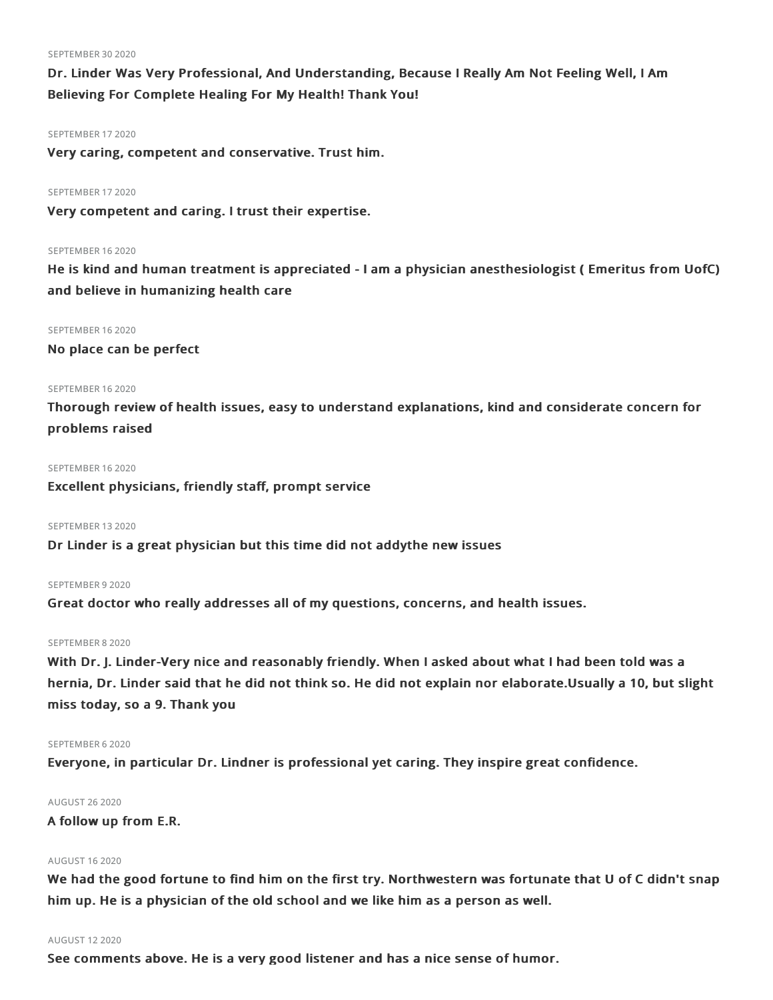#### SEPTEMBER 30 2020

Dr. Linder Was Very Professional, And Understanding, Because I Really Am Not Feeling Well, I Am Believing For Complete Healing For My Health! Thank You!

#### SEPTEMBER 17 2020

Very caring, competent and conservative. Trust him.

#### SEPTEMBER 17 2020

Very competent and caring. I trust their expertise.

#### SEPTEMBER 162020

He is kind and human treatment is appreciated - I am a physician anesthesiologist ( Emeritus from UofC) and believe in humanizing health care

#### SEPTEMBER 162020

No place can be perfect

# SEPTEMBER 16 2020

Thorough review of health issues, easy to understand explanations, kind and considerate concern for problems raised

#### SEPTEMBER 16 2020

Excellent physicians, friendly staff, prompt service

#### SEPTEMBER 132020

Dr Linder is a great physician but this time did not addythe new issues

### SEPTEMBER 9 2020

Great doctor who really addresses all of my questions, concerns, and health issues.

#### SEPTEMBER 82020

With Dr. J. Linder-Very nice and reasonably friendly. When I asked about what I had been told was a hernia, Dr. Linder said that he did not think so. He did not explain nor elaborate.Usually a 10, but slight miss today, so a 9. Thank you

#### SEPTEMBER 6 2020

Everyone, in particular Dr. Lindner is professional yet caring. They inspire great confidence.

#### AUGUST 262020

A follow up from E.R.

### AUGUST 162020

We had the good fortune to find him on the first try. Northwestern was fortunate that U of C didn't snap him up. He is a physician of the old school and we like him as a person as well.

#### AUGUST 122020

See comments above. He is a very good listener and has a nice sense of humor.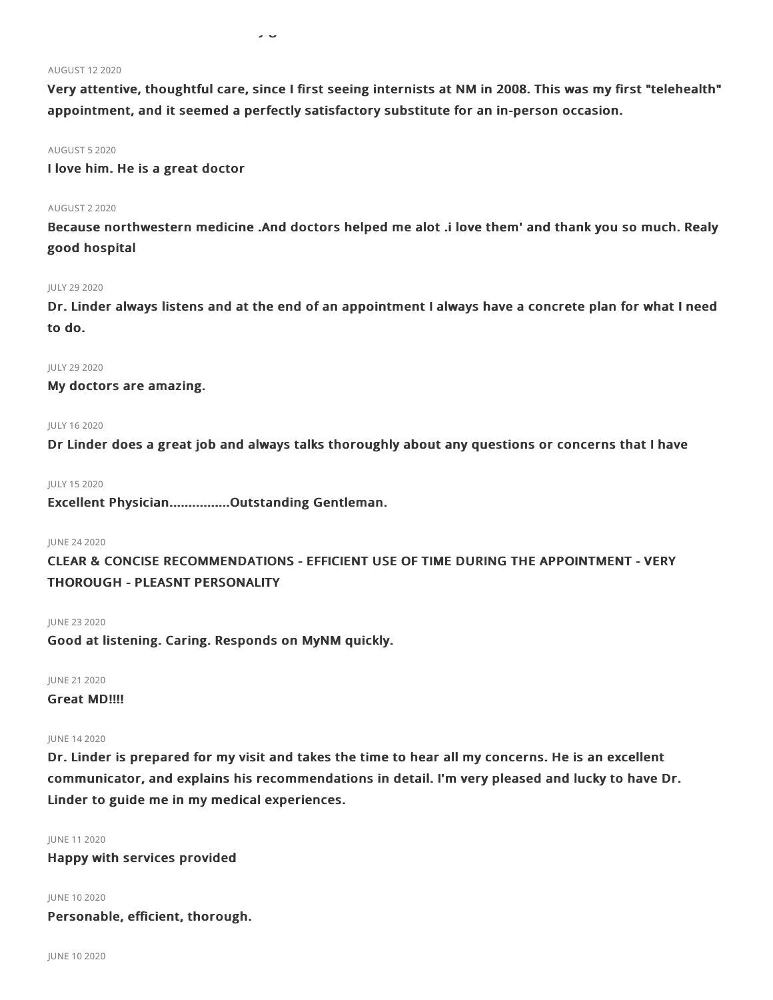Very attentive, thoughtful care, since I first seeing internists at NM in 2008. This was my first "telehealth" appointment, and it seemed a perfectly satisfactory substitute for an in-person occasion.

See comments above. He is a very good listener and has a nice sense of humor.

#### AUGUST 52020

I love him. He is a great doctor

#### AUGUST 22020

Because northwestern medicine .And doctors helped me alot .i love them' and thank you so much. Realy good hospital

#### JULY 29 2020

Dr. Linder always listens and at the end of an appointment I always have a concrete plan for what I need to do.

### JULY 292020

My doctors are amazing.

#### JULY 162020

Dr Linder does a great job and always talks thoroughly about any questions or concerns that I have

#### JULY 152020

Excellent Physician................Outstanding Gentleman.

### JUNE 242020

CLEAR & CONCISE RECOMMENDATIONS - EFFICIENT USE OF TIME DURING THE APPOINTMENT - VERY THOROUGH - PLEASNT PERSONALITY

#### JUNE 232020

Good at listening. Caring. Responds on MyNM quickly.

JUNE 212020

# Great MD!!!!

#### JUNE 142020

Dr. Linder is prepared for my visit and takes the time to hear all my concerns. He is an excellent communicator, and explains his recommendations in detail. I'm very pleased and lucky to have Dr. Linder to guide me in my medical experiences.

JUNE 112020

Happy with services provided

JUNE 102020 Personable, efficient, thorough.